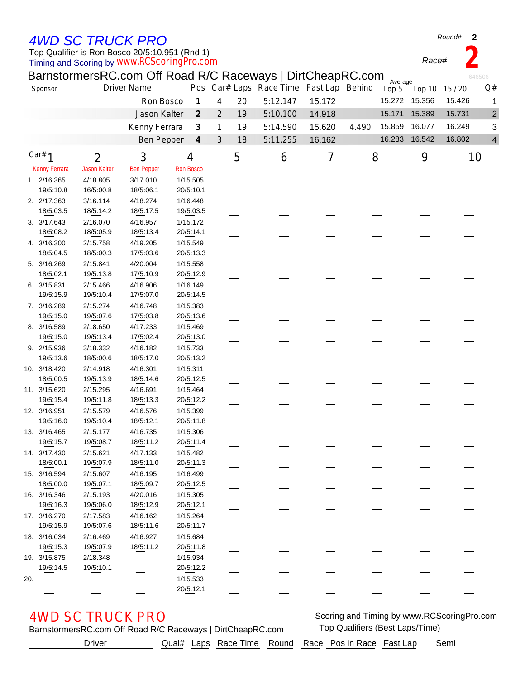## *4WD SC TRUCK PRO*

Timing and Scoring by Top Qualifier is Ron Bosco 20/5:10.951 (Rnd 1) *www.RCScoringPro.com*

| Round# | 2 |
|--------|---|
|--------|---|

*Race#* **2**

| BarnstormersRC.com Off Road R/C Raceways   DirtCheapRC.com<br>646506<br>Average |                     |                    |                  |                             |                |    |                                         |        |       |        |               |        |                |
|---------------------------------------------------------------------------------|---------------------|--------------------|------------------|-----------------------------|----------------|----|-----------------------------------------|--------|-------|--------|---------------|--------|----------------|
| Sponsor                                                                         |                     | <b>Driver Name</b> |                  |                             |                |    | Pos Car# Laps Race Time Fast Lap Behind |        |       | Top 5  | Top 10        | 15/20  | Q#             |
|                                                                                 |                     | Ron Bosco          |                  | $\boldsymbol{\mathcal{I}}$  | 4              | 20 | 5:12.147                                | 15.172 |       | 15.272 | 15.356        | 15.426 | 1              |
|                                                                                 |                     | Jason Kalter       |                  | $\mathcal{Z}$               | $\overline{2}$ | 19 | 5:10.100                                | 14.918 |       | 15.171 | 15.389        | 15.731 | $\sqrt{2}$     |
|                                                                                 |                     |                    |                  | $\mathcal{J}_{\mathcal{S}}$ |                |    | 5:14.590                                | 15.620 | 4.490 | 15.859 | 16.077        | 16.249 |                |
|                                                                                 |                     | Kenny Ferrara      |                  |                             | 1              | 19 |                                         |        |       |        |               |        | 3              |
|                                                                                 |                     | <b>Ben Pepper</b>  |                  | $\boldsymbol{4}$            | 3              | 18 | 5:11.255                                | 16.162 |       |        | 16.283 16.542 | 16.802 | $\overline{4}$ |
| Car# $1$                                                                        | $\overline{2}$      | 3                  | 4                |                             |                | 5  | 6                                       | 7      | 8     |        | 9             |        | 10             |
| <b>Kenny Ferrara</b>                                                            | <b>Jason Kalter</b> | <b>Ben Pepper</b>  | <b>Ron Bosco</b> |                             |                |    |                                         |        |       |        |               |        |                |
| 1. 2/16.365                                                                     | 4/18.805            | 3/17.010           | 1/15.505         |                             |                |    |                                         |        |       |        |               |        |                |
| 19/5:10.8                                                                       | 16/5:00.8           | 18/5:06.1          | 20/5:10.1        |                             |                |    |                                         |        |       |        |               |        |                |
| 2. 2/17.363                                                                     | 3/16.114            | 4/18.274           | 1/16.448         |                             |                |    |                                         |        |       |        |               |        |                |
| 18/5:03.5                                                                       | 18/5:14.2           | 18/5:17.5          | 19/5:03.5        |                             |                |    |                                         |        |       |        |               |        |                |
| 3. 3/17.643                                                                     | 2/16.070            | 4/16.957           | 1/15.172         |                             |                |    |                                         |        |       |        |               |        |                |
| 18/5:08.2                                                                       | 18/5:05.9           | 18/5:13.4          | 20/5:14.1        |                             |                |    |                                         |        |       |        |               |        |                |
| 4. 3/16.300                                                                     | 2/15.758            | 4/19.205           | 1/15.549         |                             |                |    |                                         |        |       |        |               |        |                |
| 18/5:04.5                                                                       | 18/5:00.3           | 17/5:03.6          | 20/5:13.3        |                             |                |    |                                         |        |       |        |               |        |                |
| 5. 3/16.269                                                                     | 2/15.841            | 4/20.004           | 1/15.558         |                             |                |    |                                         |        |       |        |               |        |                |
| 18/5:02.1                                                                       | 19/5:13.8           | 17/5:10.9          | 20/5:12.9        |                             |                |    |                                         |        |       |        |               |        |                |
| 6. 3/15.831                                                                     | 2/15.466            | 4/16.906           | 1/16.149         |                             |                |    |                                         |        |       |        |               |        |                |
| 19/5:15.9                                                                       | 19/5:10.4           | 17/5:07.0          | 20/5:14.5        |                             |                |    |                                         |        |       |        |               |        |                |
| 7. 3/16.289                                                                     | 2/15.274            | 4/16.748           | 1/15.383         |                             |                |    |                                         |        |       |        |               |        |                |
| 19/5:15.0                                                                       | 19/5:07.6           | 17/5:03.8          | 20/5:13.6        |                             |                |    |                                         |        |       |        |               |        |                |
| 8. 3/16.589                                                                     | 2/18.650            | 4/17.233           | 1/15.469         |                             |                |    |                                         |        |       |        |               |        |                |
| 19/5:15.0                                                                       | 19/5:13.4           | 17/5:02.4          | 20/5:13.0        |                             |                |    |                                         |        |       |        |               |        |                |
| 9. 2/15.936                                                                     | 3/18.332            | 4/16.182           | 1/15.733         |                             |                |    |                                         |        |       |        |               |        |                |
| 19/5:13.6                                                                       | 18/5:00.6           | 18/5:17.0          | 20/5:13.2        |                             |                |    |                                         |        |       |        |               |        |                |
| 10. 3/18.420                                                                    | 2/14.918            | 4/16.301           | 1/15.311         |                             |                |    |                                         |        |       |        |               |        |                |
| 18/5:00.5                                                                       | 19/5:13.9           | 18/5:14.6          | 20/5:12.5        |                             |                |    |                                         |        |       |        |               |        |                |
| 11. 3/15.620                                                                    | 2/15.295            | 4/16.691           | 1/15.464         |                             |                |    |                                         |        |       |        |               |        |                |
| 19/5:15.4                                                                       | 19/5:11.8           | 18/5:13.3          | 20/5:12.2        |                             |                |    |                                         |        |       |        |               |        |                |
| 12. 3/16.951                                                                    | 2/15.579            | 4/16.576           | 1/15.399         |                             |                |    |                                         |        |       |        |               |        |                |
| 19/5:16.0                                                                       | 19/5:10.4           | 18/5:12.1          | 20/5:11.8        |                             |                |    |                                         |        |       |        |               |        |                |
| 13. 3/16.465                                                                    | 2/15.177            | 4/16.735           | 1/15.306         |                             |                |    |                                         |        |       |        |               |        |                |
| 19/5:15.7                                                                       | 19/5:08.7           | 18/5:11.2          | 20/5:11.4        |                             |                |    |                                         |        |       |        |               |        |                |
| 14. 3/17.430                                                                    | 2/15.621            | 4/17.133           | 1/15.482         |                             |                |    |                                         |        |       |        |               |        |                |
| 18/5:00.1                                                                       | 19/5:07.9           | 18/5:11.0          | 20/5:11.3        |                             |                |    |                                         |        |       |        |               |        |                |
| 15. 3/16.594                                                                    | 2/15.607            | 4/16.195           | 1/16.499         |                             |                |    |                                         |        |       |        |               |        |                |
| 18/5:00.0                                                                       | 19/5:07.1           | 18/5:09.7          | 20/5:12.5        |                             |                |    |                                         |        |       |        |               |        |                |
| 16. 3/16.346                                                                    | 2/15.193            | 4/20.016           | 1/15.305         |                             |                |    |                                         |        |       |        |               |        |                |
| 19/5:16.3                                                                       | 19/5:06.0           | 18/5:12.9          | 20/5:12.1        |                             |                |    |                                         |        |       |        |               |        |                |
| 17. 3/16.270                                                                    | 2/17.583            | 4/16.162           | 1/15.264         |                             |                |    |                                         |        |       |        |               |        |                |
| 19/5:15.9                                                                       | 19/5:07.6           | 18/5:11.6          | 20/5:11.7        |                             |                |    |                                         |        |       |        |               |        |                |
| 18. 3/16.034                                                                    | 2/16.469            | 4/16.927           | 1/15.684         |                             |                |    |                                         |        |       |        |               |        |                |
| 19/5:15.3                                                                       | 19/5:07.9           | 18/5:11.2          | 20/5:11.8        |                             |                |    |                                         |        |       |        |               |        |                |
| 19. 3/15.875                                                                    | 2/18.348            |                    | 1/15.934         |                             |                |    |                                         |        |       |        |               |        |                |
| 19/5:14.5                                                                       | 19/5:10.1           |                    | 20/5:12.2        |                             |                |    |                                         |        |       |        |               |        |                |
| 20.                                                                             |                     |                    | 1/15.533         |                             |                |    |                                         |        |       |        |               |        |                |
|                                                                                 |                     |                    | 20/5:12.1        |                             |                |    |                                         |        |       |        |               |        |                |

BarnstormersRC.com Off Road R/C Raceways | DirtCheapRC.com Top Qualifiers (Best Laps/Time) AWD SC TRUCK PRO **SCORE AND SCOTTER AND SCOTTER AND SCOTTER AND SCOTTER AND SCOTTER AND SCOTTER AND SCOTTER AND SCOTTER AND SCOTTER AND SCOTTER AND SCOTTER AND SCOTTER AND SCOTTER AND SCOTTER AND SCOTTER AND SCOTTER AND SC** 

Driver \_\_\_\_\_\_\_\_\_\_ Qual# Laps Race Time Round Race Pos in Race Fast Lap Semi